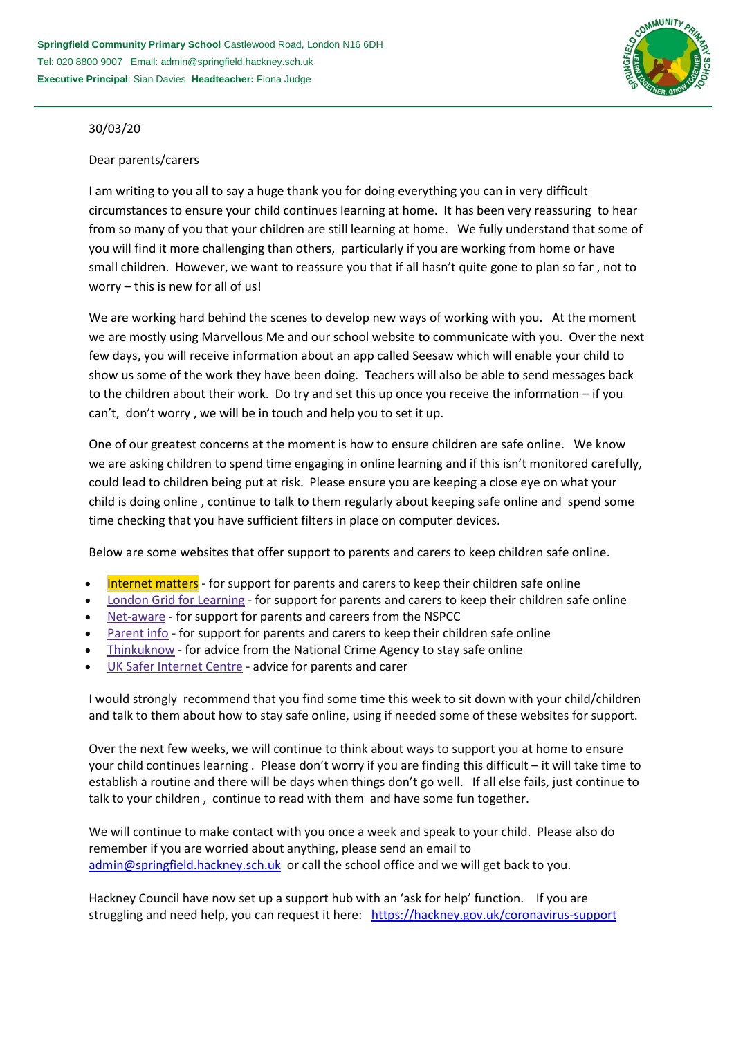

## 30/03/20

## Dear parents/carers

I am writing to you all to say a huge thank you for doing everything you can in very difficult circumstances to ensure your child continues learning at home. It has been very reassuring to hear from so many of you that your children are still learning at home. We fully understand that some of you will find it more challenging than others, particularly if you are working from home or have small children. However, we want to reassure you that if all hasn't quite gone to plan so far , not to worry – this is new for all of us!

We are working hard behind the scenes to develop new ways of working with you. At the moment we are mostly using Marvellous Me and our school website to communicate with you. Over the next few days, you will receive information about an app called Seesaw which will enable your child to show us some of the work they have been doing. Teachers will also be able to send messages back to the children about their work. Do try and set this up once you receive the information – if you can't, don't worry , we will be in touch and help you to set it up.

One of our greatest concerns at the moment is how to ensure children are safe online. We know we are asking children to spend time engaging in online learning and if this isn't monitored carefully, could lead to children being put at risk. Please ensure you are keeping a close eye on what your child is doing online , continue to talk to them regularly about keeping safe online and spend some time checking that you have sufficient filters in place on computer devices.

Below are some websites that offer support to parents and carers to keep children safe online.

- [Internet](https://www.internetmatters.org/?gclid=EAIaIQobChMIktuA5LWK2wIVRYXVCh2afg2aEAAYASAAEgIJ5vD_BwE) matters for support for parents and carers to keep their children safe online
- London Grid for [Learning](http://www.lgfl.net/online-safety/) for support for parents and carers to keep their children safe online
- [Net-aware](https://www.net-aware.org.uk/) for support for parents and careers from the NSPCC
- [Parent](https://parentinfo.org/) info for support for parents and carers to keep their children safe online
- [Thinkuknow](http://www.thinkuknow.co.uk/) for advice from the National Crime Agency to stay safe online
- UK Safer [Internet](https://www.saferinternet.org.uk/advice-centre/parents-and-carers) Centre advice for parents and carer

I would strongly recommend that you find some time this week to sit down with your child/children and talk to them about how to stay safe online, using if needed some of these websites for support.

Over the next few weeks, we will continue to think about ways to support you at home to ensure your child continues learning . Please don't worry if you are finding this difficult – it will take time to establish a routine and there will be days when things don't go well. If all else fails, just continue to talk to your children , continue to read with them and have some fun together.

We will continue to make contact with you once a week and speak to your child. Please also do remember if you are worried about anything, please send an email to [admin@springfield.hackney.sch.uk](mailto:admin@springfield.hackney.sch.uk) or call the school office and we will get back to you.

Hackney Council have now set up a support hub with an 'ask for help' function. If you are struggling and need help, you can request it here: <https://hackney.gov.uk/coronavirus-support>